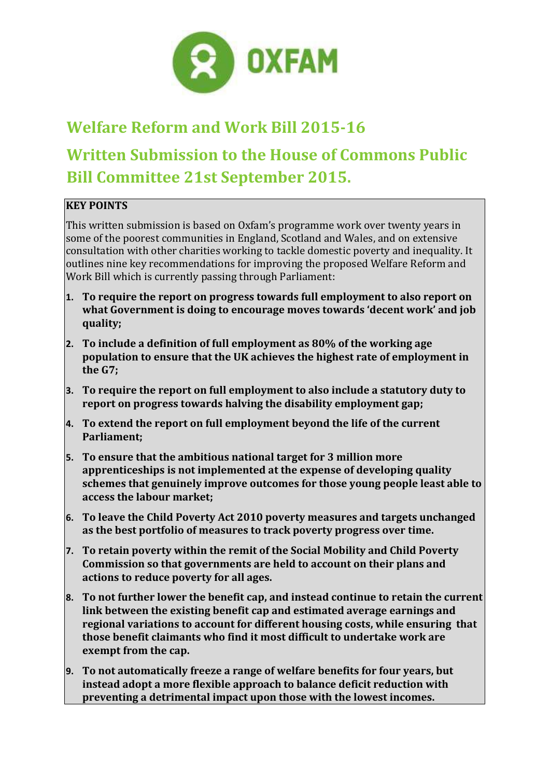

# **Welfare Reform and Work Bill 2015-16 Written Submission to the House of Commons Public Bill Committee 21st September 2015.**

# **KEY POINTS**

This written submission is based on Oxfam's programme work over twenty years in some of the poorest communities in England, Scotland and Wales, and on extensive consultation with other charities working to tackle domestic poverty and inequality. It outlines nine key recommendations for improving the proposed Welfare Reform and Work Bill which is currently passing through Parliament:

- **1. To require the report on progress towards full employment to also report on what Government is doing to encourage moves towards 'decent work' and job quality;**
- **2. To include a definition of full employment as 80% of the working age population to ensure that the UK achieves the highest rate of employment in the G7;**
- **3. To require the report on full employment to also include a statutory duty to report on progress towards halving the disability employment gap;**
- **4. To extend the report on full employment beyond the life of the current Parliament;**
- **5. To ensure that the ambitious national target for 3 million more apprenticeships is not implemented at the expense of developing quality schemes that genuinely improve outcomes for those young people least able to access the labour market;**
- **6. To leave the Child Poverty Act 2010 poverty measures and targets unchanged as the best portfolio of measures to track poverty progress over time.**
- **7. To retain poverty within the remit of the Social Mobility and Child Poverty Commission so that governments are held to account on their plans and actions to reduce poverty for all ages.**
- **8. To not further lower the benefit cap, and instead continue to retain the current link between the existing benefit cap and estimated average earnings and regional variations to account for different housing costs, while ensuring that those benefit claimants who find it most difficult to undertake work are exempt from the cap.**
- **9. To not automatically freeze a range of welfare benefits for four years, but instead adopt a more flexible approach to balance deficit reduction with preventing a detrimental impact upon those with the lowest incomes.**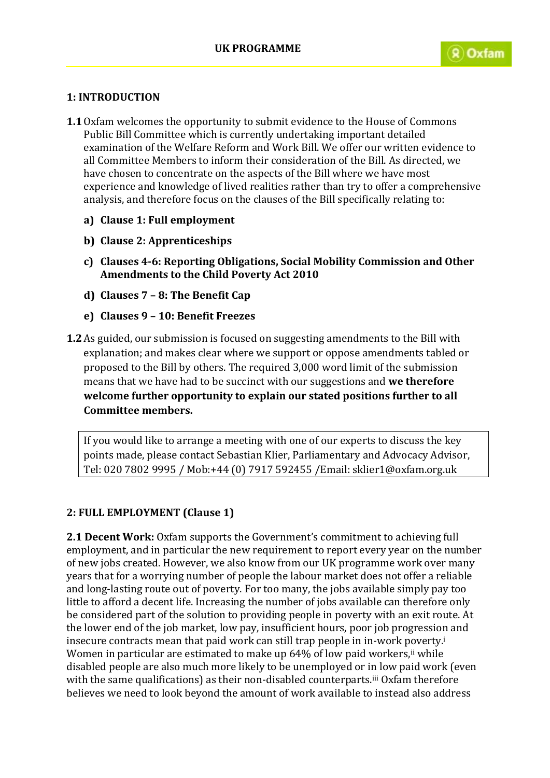## **1: INTRODUCTION**

- **1.1**Oxfam welcomes the opportunity to submit evidence to the House of Commons Public Bill Committee which is currently undertaking important detailed examination of the Welfare Reform and Work Bill. We offer our written evidence to all Committee Members to inform their consideration of the Bill. As directed, we have chosen to concentrate on the aspects of the Bill where we have most experience and knowledge of lived realities rather than try to offer a comprehensive analysis, and therefore focus on the clauses of the Bill specifically relating to:
	- **a) Clause 1: Full employment**
	- **b) Clause 2: Apprenticeships**
	- **c) Clauses 4-6: Reporting Obligations, Social Mobility Commission and Other Amendments to the Child Poverty Act 2010**
	- **d) Clauses 7 – 8: The Benefit Cap**
	- **e) Clauses 9 – 10: Benefit Freezes**
- **1.2**As guided, our submission is focused on suggesting amendments to the Bill with explanation; and makes clear where we support or oppose amendments tabled or proposed to the Bill by others. The required 3,000 word limit of the submission means that we have had to be succinct with our suggestions and **we therefore welcome further opportunity to explain our stated positions further to all Committee members.**

If you would like to arrange a meeting with one of our experts to discuss the key points made, please contact Sebastian Klier, Parliamentary and Advocacy Advisor, Tel: 020 7802 9995 / Mob:+44 (0) 7917 592455 /Email: sklier1@oxfam.org.uk

### **2: FULL EMPLOYMENT (Clause 1)**

**2.1 Decent Work:** Oxfam supports the Government's commitment to achieving full employment, and in particular the new requirement to report every year on the number of new jobs created. However, we also know from our UK programme work over many years that for a worrying number of people the labour market does not offer a reliable and long-lasting route out of poverty. For too many, the jobs available simply pay too little to afford a decent life. Increasing the number of jobs available can therefore only be considered part of the solution to providing people in poverty with an exit route. At the lower end of the job market, low pay, insufficient hours, poor job progression and insecure contracts mean that paid work can still trap people in in-work poverty.<sup>i</sup> Women in particular are estimated to make up 64% of low paid workers,<sup>ii</sup> while disabled people are also much more likely to be unemployed or in low paid work (even with the same qualifications) as their non-disabled counterparts.<sup>iii</sup> Oxfam therefore believes we need to look beyond the amount of work available to instead also address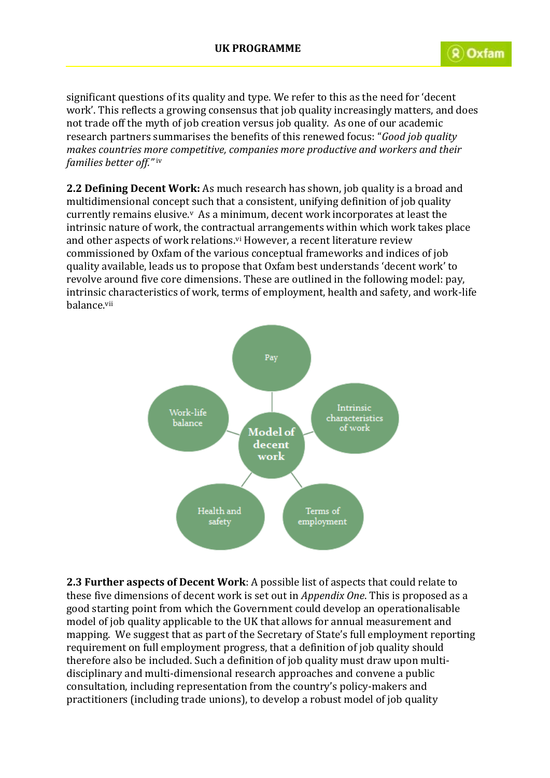significant questions of its quality and type. We refer to this as the need for 'decent work'. This reflects a growing consensus that job quality increasingly matters, and does not trade off the myth of job creation versus job quality. As one of our academic research partners summarises the benefits of this renewed focus: "*Good job quality makes countries more competitive, companies more productive and workers and their families better off."* iv

**2.2 Defining Decent Work:** As much research has shown, job quality is a broad and multidimensional concept such that a consistent, unifying definition of job quality currently remains elusive.<sup>v</sup> As a minimum, decent work incorporates at least the intrinsic nature of work, the contractual arrangements within which work takes place and other aspects of work relations.<sup>vi</sup> However, a recent literature review commissioned by Oxfam of the various conceptual frameworks and indices of job quality available, leads us to propose that Oxfam best understands 'decent work' to revolve around five core dimensions. These are outlined in the following model: pay, intrinsic characteristics of work, terms of employment, health and safety, and work-life balance.vii



**2.3 Further aspects of Decent Work**: A possible list of aspects that could relate to these five dimensions of decent work is set out in *Appendix One*. This is proposed as a good starting point from which the Government could develop an operationalisable model of job quality applicable to the UK that allows for annual measurement and mapping. We suggest that as part of the Secretary of State's full employment reporting requirement on full employment progress, that a definition of job quality should therefore also be included. Such a definition of job quality must draw upon multidisciplinary and multi-dimensional research approaches and convene a public consultation, including representation from the country's policy-makers and practitioners (including trade unions), to develop a robust model of job quality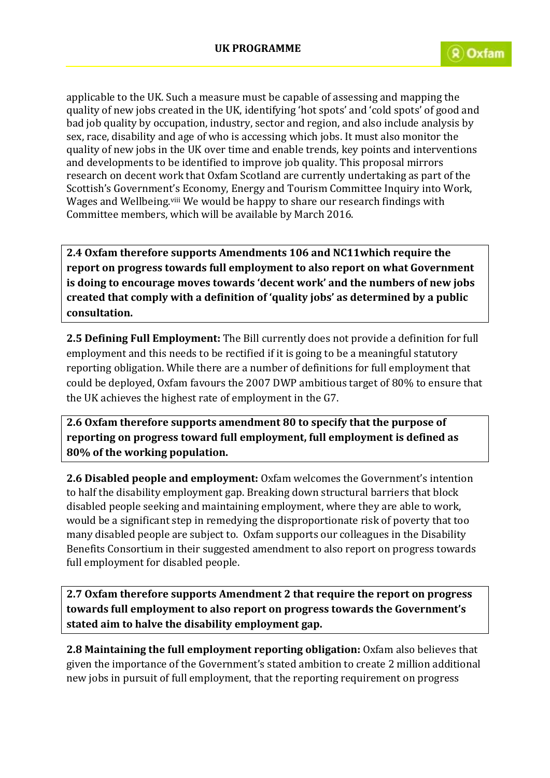applicable to the UK. Such a measure must be capable of assessing and mapping the quality of new jobs created in the UK, identifying 'hot spots' and 'cold spots' of good and bad job quality by occupation, industry, sector and region, and also include analysis by sex, race, disability and age of who is accessing which jobs. It must also monitor the quality of new jobs in the UK over time and enable trends, key points and interventions and developments to be identified to improve job quality. This proposal mirrors research on decent work that Oxfam Scotland are currently undertaking as part of the Scottish's Government's Economy, Energy and Tourism Committee Inquiry into Work, Wages and Wellbeing.viii We would be happy to share our research findings with Committee members, which will be available by March 2016.

**2.4 Oxfam therefore supports Amendments 106 and NC11which require the report on progress towards full employment to also report on what Government is doing to encourage moves towards 'decent work' and the numbers of new jobs created that comply with a definition of 'quality jobs' as determined by a public consultation.**

**2.5 Defining Full Employment:** The Bill currently does not provide a definition for full employment and this needs to be rectified if it is going to be a meaningful statutory reporting obligation. While there are a number of definitions for full employment that could be deployed, Oxfam favours the 2007 DWP ambitious target of 80% to ensure that the UK achieves the highest rate of employment in the G7.

**2.6 Oxfam therefore supports amendment 80 to specify that the purpose of reporting on progress toward full employment, full employment is defined as 80% of the working population.**

**2.6 Disabled people and employment:** Oxfam welcomes the Government's intention to half the disability employment gap. Breaking down structural barriers that block disabled people seeking and maintaining employment, where they are able to work, would be a significant step in remedying the disproportionate risk of poverty that too many disabled people are subject to. Oxfam supports our colleagues in the Disability Benefits Consortium in their suggested amendment to also report on progress towards full employment for disabled people.

**2.7 Oxfam therefore supports Amendment 2 that require the report on progress towards full employment to also report on progress towards the Government's stated aim to halve the disability employment gap.**

**2.8 Maintaining the full employment reporting obligation:** Oxfam also believes that given the importance of the Government's stated ambition to create 2 million additional new jobs in pursuit of full employment, that the reporting requirement on progress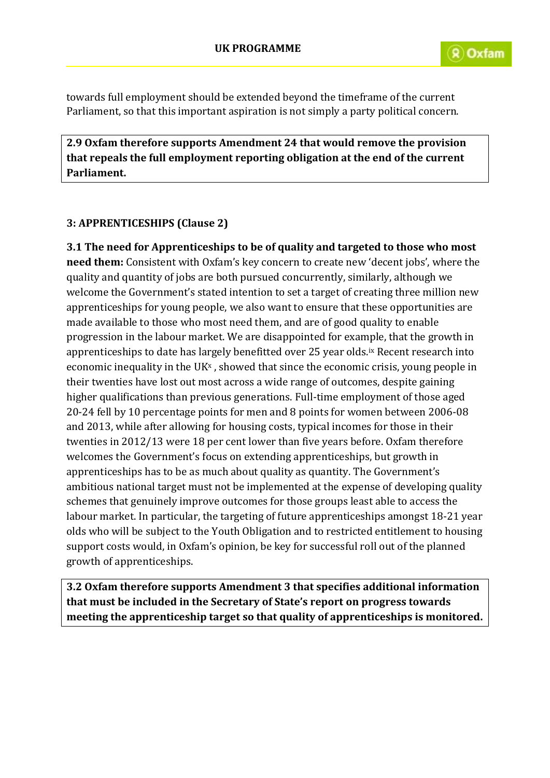towards full employment should be extended beyond the timeframe of the current Parliament, so that this important aspiration is not simply a party political concern.

**2.9 Oxfam therefore supports Amendment 24 that would remove the provision that repeals the full employment reporting obligation at the end of the current Parliament.**

## **3: APPRENTICESHIPS (Clause 2)**

**3.1 The need for Apprenticeships to be of quality and targeted to those who most need them:** Consistent with Oxfam's key concern to create new 'decent jobs', where the quality and quantity of jobs are both pursued concurrently, similarly, although we welcome the Government's stated intention to set a target of creating three million new apprenticeships for young people, we also want to ensure that these opportunities are made available to those who most need them, and are of good quality to enable progression in the labour market. We are disappointed for example, that the growth in apprenticeships to date has largely benefitted over 25 year olds.ix Recent research into economic inequality in the UK $x$ , showed that since the economic crisis, young people in their twenties have lost out most across a wide range of outcomes, despite gaining higher qualifications than previous generations. Full-time employment of those aged 20-24 fell by 10 percentage points for men and 8 points for women between 2006-08 and 2013, while after allowing for housing costs, typical incomes for those in their twenties in 2012/13 were 18 per cent lower than five years before. Oxfam therefore welcomes the Government's focus on extending apprenticeships, but growth in apprenticeships has to be as much about quality as quantity. The Government's ambitious national target must not be implemented at the expense of developing quality schemes that genuinely improve outcomes for those groups least able to access the labour market. In particular, the targeting of future apprenticeships amongst 18-21 year olds who will be subject to the Youth Obligation and to restricted entitlement to housing support costs would, in Oxfam's opinion, be key for successful roll out of the planned growth of apprenticeships.

**3.2 Oxfam therefore supports Amendment 3 that specifies additional information that must be included in the Secretary of State's report on progress towards meeting the apprenticeship target so that quality of apprenticeships is monitored.**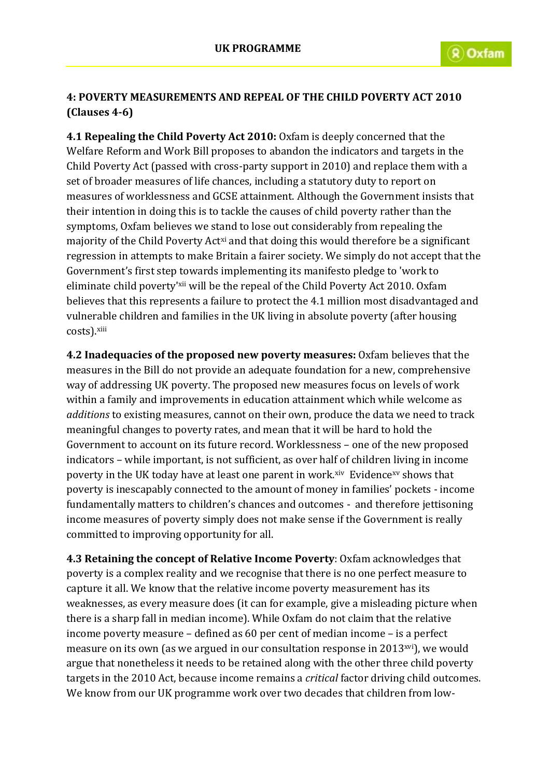## **4: POVERTY MEASUREMENTS AND REPEAL OF THE CHILD POVERTY ACT 2010 (Clauses 4-6)**

**4.1 Repealing the Child Poverty Act 2010:** Oxfam is deeply concerned that the Welfare Reform and Work Bill proposes to abandon the indicators and targets in the Child Poverty Act (passed with cross-party support in 2010) and replace them with a set of broader measures of life chances, including a statutory duty to report on measures of worklessness and GCSE attainment. Although the Government insists that their intention in doing this is to tackle the causes of child poverty rather than the symptoms, Oxfam believes we stand to lose out considerably from repealing the majority of the Child Poverty Act<sup>xi</sup> and that doing this would therefore be a significant regression in attempts to make Britain a fairer society. We simply do not accept that the Government's first step towards implementing its manifesto pledge to 'work to eliminate child poverty'xii will be the repeal of the Child Poverty Act 2010. Oxfam believes that this represents a failure to protect the 4.1 million most disadvantaged and vulnerable children and families in the UK living in absolute poverty (after housing costs).xiii

**4.2 Inadequacies of the proposed new poverty measures:** Oxfam believes that the measures in the Bill do not provide an adequate foundation for a new, comprehensive way of addressing UK poverty. The proposed new measures focus on levels of work within a family and improvements in education attainment which while welcome as *additions* to existing measures, cannot on their own, produce the data we need to track meaningful changes to poverty rates, and mean that it will be hard to hold the Government to account on its future record. Worklessness – one of the new proposed indicators – while important, is not sufficient, as over half of children living in income poverty in the UK today have at least one parent in work.xiv Evidencexy shows that poverty is inescapably connected to the amount of money in families' pockets - income fundamentally matters to children's chances and outcomes - and therefore jettisoning income measures of poverty simply does not make sense if the Government is really committed to improving opportunity for all.

**4.3 Retaining the concept of Relative Income Poverty**: Oxfam acknowledges that poverty is a complex reality and we recognise that there is no one perfect measure to capture it all. We know that the relative income poverty measurement has its weaknesses, as every measure does (it can for example, give a misleading picture when there is a sharp fall in median income). While Oxfam do not claim that the relative income poverty measure – defined as 60 per cent of median income – is a perfect measure on its own (as we argued in our consultation response in 2013xvi), we would argue that nonetheless it needs to be retained along with the other three child poverty targets in the 2010 Act, because income remains a *critical* factor driving child outcomes. We know from our UK programme work over two decades that children from low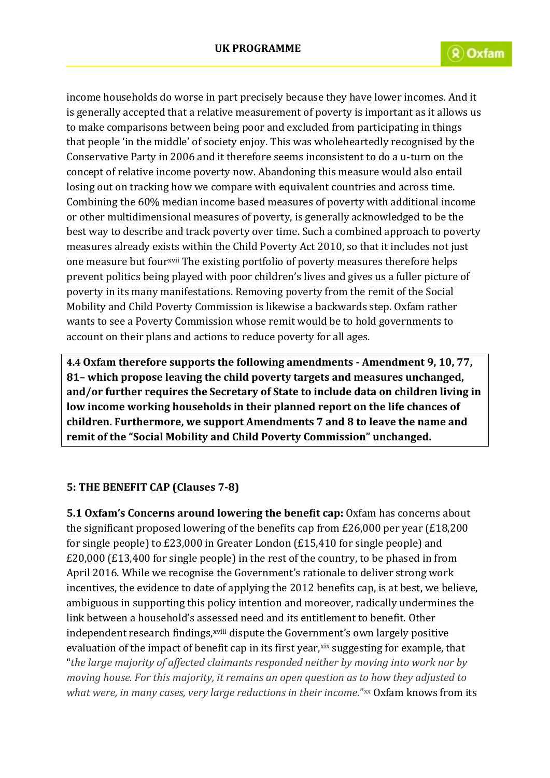income households do worse in part precisely because they have lower incomes. And it is generally accepted that a relative measurement of poverty is important as it allows us to make comparisons between being poor and excluded from participating in things that people 'in the middle' of society enjoy. This was wholeheartedly recognised by the Conservative Party in 2006 and it therefore seems inconsistent to do a u-turn on the concept of relative income poverty now. Abandoning this measure would also entail losing out on tracking how we compare with equivalent countries and across time. Combining the 60% median income based measures of poverty with additional income or other multidimensional measures of poverty, is generally acknowledged to be the best way to describe and track poverty over time. Such a combined approach to poverty measures already exists within the Child Poverty Act 2010, so that it includes not just one measure but fourxvii The existing portfolio of poverty measures therefore helps prevent politics being played with poor children's lives and gives us a fuller picture of poverty in its many manifestations. Removing poverty from the remit of the Social Mobility and Child Poverty Commission is likewise a backwards step. Oxfam rather wants to see a Poverty Commission whose remit would be to hold governments to account on their plans and actions to reduce poverty for all ages.

**4.4 Oxfam therefore supports the following amendments - Amendment 9, 10, 77, 81– which propose leaving the child poverty targets and measures unchanged, and/or further requires the Secretary of State to include data on children living in low income working households in their planned report on the life chances of children. Furthermore, we support Amendments 7 and 8 to leave the name and remit of the "Social Mobility and Child Poverty Commission" unchanged.**

## **5: THE BENEFIT CAP (Clauses 7-8)**

**5.1 Oxfam's Concerns around lowering the benefit cap:** Oxfam has concerns about the significant proposed lowering of the benefits cap from £26,000 per year (£18,200 for single people) to £23,000 in Greater London (£15,410 for single people) and £20,000 (£13,400 for single people) in the rest of the country, to be phased in from April 2016. While we recognise the Government's rationale to deliver strong work incentives, the evidence to date of applying the 2012 benefits cap, is at best, we believe, ambiguous in supporting this policy intention and moreover, radically undermines the link between a household's assessed need and its entitlement to benefit. Other independent research findings,<sup>xviii</sup> dispute the Government's own largely positive evaluation of the impact of benefit cap in its first year, xix suggesting for example, that "*the large majority of affected claimants responded neither by moving into work nor by moving house. For this majority, it remains an open question as to how they adjusted to*  what were, in many cases, very large reductions in their income."xx Oxfam knows from its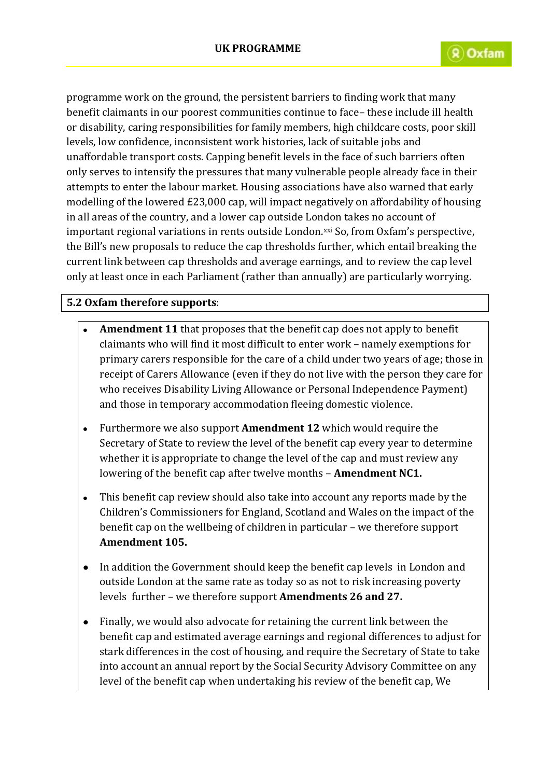programme work on the ground, the persistent barriers to finding work that many benefit claimants in our poorest communities continue to face– these include ill health or disability, caring responsibilities for family members, high childcare costs, poor skill levels, low confidence, inconsistent work histories, lack of suitable jobs and unaffordable transport costs. Capping benefit levels in the face of such barriers often only serves to intensify the pressures that many vulnerable people already face in their attempts to enter the labour market. Housing associations have also warned that early modelling of the lowered £23,000 cap, will impact negatively on affordability of housing in all areas of the country, and a lower cap outside London takes no account of important regional variations in rents outside London.xxi So, from Oxfam's perspective, the Bill's new proposals to reduce the cap thresholds further, which entail breaking the current link between cap thresholds and average earnings, and to review the cap level only at least once in each Parliament (rather than annually) are particularly worrying.

### **5.2 Oxfam therefore supports**:

- **Amendment 11** that proposes that the benefit cap does not apply to benefit claimants who will find it most difficult to enter work – namely exemptions for primary carers responsible for the care of a child under two years of age; those in receipt of Carers Allowance (even if they do not live with the person they care for who receives Disability Living Allowance or Personal Independence Payment) and those in temporary accommodation fleeing domestic violence.
- Furthermore we also support **Amendment 12** which would require the  $\bullet$ Secretary of State to review the level of the benefit cap every year to determine whether it is appropriate to change the level of the cap and must review any lowering of the benefit cap after twelve months – **Amendment NC1.**
- This benefit cap review should also take into account any reports made by the  $\bullet$ Children's Commissioners for England, Scotland and Wales on the impact of the benefit cap on the wellbeing of children in particular – we therefore support **Amendment 105.**
- In addition the Government should keep the benefit cap levels in London and outside London at the same rate as today so as not to risk increasing poverty levels further – we therefore support **Amendments 26 and 27.**
- Finally, we would also advocate for retaining the current link between the benefit cap and estimated average earnings and regional differences to adjust for stark differences in the cost of housing, and require the Secretary of State to take into account an annual report by the Social Security Advisory Committee on any level of the benefit cap when undertaking his review of the benefit cap, We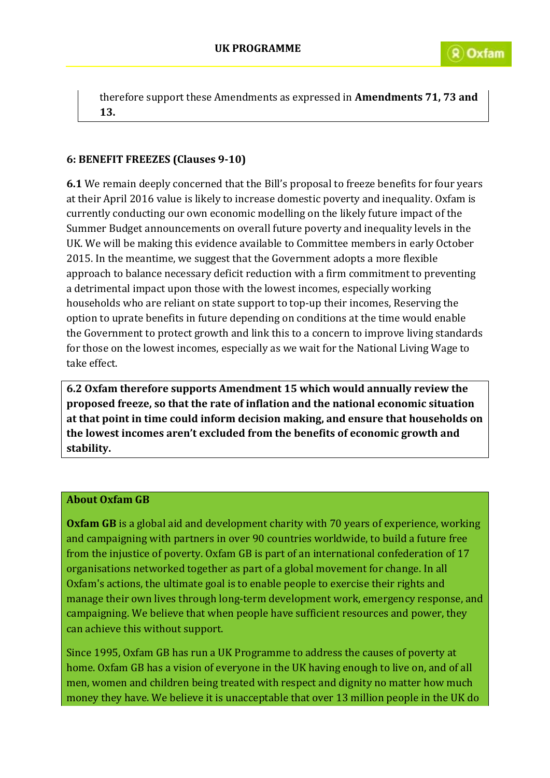therefore support these Amendments as expressed in **Amendments 71, 73 and 13.** 

## **6: BENEFIT FREEZES (Clauses 9-10)**

**6.1** We remain deeply concerned that the Bill's proposal to freeze benefits for four years at their April 2016 value is likely to increase domestic poverty and inequality. Oxfam is currently conducting our own economic modelling on the likely future impact of the Summer Budget announcements on overall future poverty and inequality levels in the UK. We will be making this evidence available to Committee members in early October 2015. In the meantime, we suggest that the Government adopts a more flexible approach to balance necessary deficit reduction with a firm commitment to preventing a detrimental impact upon those with the lowest incomes, especially working households who are reliant on state support to top-up their incomes, Reserving the option to uprate benefits in future depending on conditions at the time would enable the Government to protect growth and link this to a concern to improve living standards for those on the lowest incomes, especially as we wait for the National Living Wage to take effect.

**6.2 Oxfam therefore supports Amendment 15 which would annually review the proposed freeze, so that the rate of inflation and the national economic situation at that point in time could inform decision making, and ensure that households on the lowest incomes aren't excluded from the benefits of economic growth and stability.**

#### **About Oxfam GB**

**Oxfam GB** is a global aid and development charity with 70 years of experience, working and campaigning with partners in over 90 countries worldwide, to build a future free from the injustice of poverty. Oxfam GB is part of an international confederation of 17 organisations networked together as part of a global movement for change. In all Oxfam's actions, the ultimate goal is to enable people to exercise their rights and manage their own lives through long-term development work, emergency response, and campaigning. We believe that when people have sufficient resources and power, they can achieve this without support.

Since 1995, Oxfam GB has run a UK Programme to address the causes of poverty at home. Oxfam GB has a vision of everyone in the UK having enough to live on, and of all men, women and children being treated with respect and dignity no matter how much money they have. We believe it is unacceptable that over 13 million people in the UK do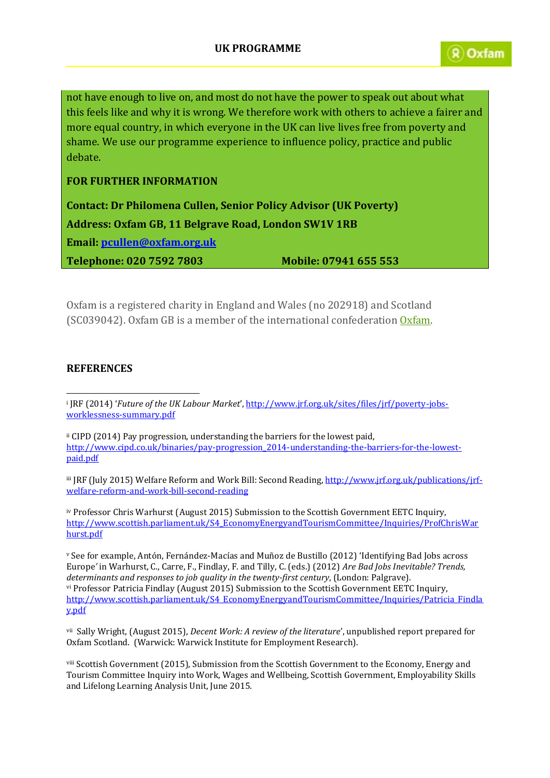not have enough to live on, and most do not have the power to speak out about what this feels like and why it is wrong. We therefore work with others to achieve a fairer and more equal country, in which everyone in the UK can live lives free from poverty and shame. We use our programme experience to influence policy, practice and public debate.

#### **FOR FURTHER INFORMATION**

**Contact: Dr Philomena Cullen, Senior Policy Advisor (UK Poverty) Address: Oxfam GB, 11 Belgrave Road, London SW1V 1RB Email: [pcullen@oxfam.org.uk](mailto:pcullen@oxfam.org.uk)**

**Telephone: 020 7592 7803 Mobile: 07941 655 553**

Oxfam is a registered charity in England and Wales (no 202918) and Scotland (SC039042). Oxfam GB is a member of the international confederation [Oxfam.](http://www.oxfam.org/)

#### **REFERENCES**

1

ii CIPD (2014) Pay progression, understanding the barriers for the lowest paid, [http://www.cipd.co.uk/binaries/pay-progression\\_2014-understanding-the-barriers-for-the-lowest](http://www.cipd.co.uk/binaries/pay-progression_2014-understanding-the-barriers-for-the-lowest-paid.pdf)[paid.pdf](http://www.cipd.co.uk/binaries/pay-progression_2014-understanding-the-barriers-for-the-lowest-paid.pdf)

iii JRF (July 2015) Welfare Reform and Work Bill: Second Reading[, http://www.jrf.org.uk/publications/jrf](http://www.jrf.org.uk/publications/jrf-welfare-reform-and-work-bill-second-reading)[welfare-reform-and-work-bill-second-reading](http://www.jrf.org.uk/publications/jrf-welfare-reform-and-work-bill-second-reading)

iv Professor Chris Warhurst (August 2015) Submission to the Scottish Government EETC Inquiry, [http://www.scottish.parliament.uk/S4\\_EconomyEnergyandTourismCommittee/Inquiries/ProfChrisWar](http://www.scottish.parliament.uk/S4_EconomyEnergyandTourismCommittee/Inquiries/ProfChrisWarhurst.pdf) [hurst.pdf](http://www.scottish.parliament.uk/S4_EconomyEnergyandTourismCommittee/Inquiries/ProfChrisWarhurst.pdf)

<sup>v</sup> See for example, Antón, Fernández-Macías and Muñoz de Bustillo (2012) 'Identifying Bad Jobs across Europe*'* in Warhurst, C., Carre, F., Findlay, F. and Tilly, C. (eds.) (2012) *Are Bad Jobs Inevitable? Trends, determinants and responses to job quality in the twenty-first century*, (London: Palgrave). vi Professor Patricia Findlay (August 2015) Submission to the Scottish Government EETC Inquiry, [http://www.scottish.parliament.uk/S4\\_EconomyEnergyandTourismCommittee/Inquiries/Patricia\\_Findla](http://www.scottish.parliament.uk/S4_EconomyEnergyandTourismCommittee/Inquiries/Patricia_Findlay.pdf) [y.pdf](http://www.scottish.parliament.uk/S4_EconomyEnergyandTourismCommittee/Inquiries/Patricia_Findlay.pdf)

vii Sally Wright, (August 2015), *Decent Work: A review of the literature*', unpublished report prepared for Oxfam Scotland. (Warwick: Warwick Institute for Employment Research).

viii Scottish Government (2015), Submission from the Scottish Government to the Economy, Energy and Tourism Committee Inquiry into Work, Wages and Wellbeing, Scottish Government, Employability Skills and Lifelong Learning Analysis Unit, June 2015.

i JRF (2014) '*Future of the UK Labour Market*', [http://www.jrf.org.uk/sites/files/jrf/poverty-jobs](http://www.jrf.org.uk/sites/files/jrf/poverty-jobs-worklessness-summary.pdf)[worklessness-summary.pdf](http://www.jrf.org.uk/sites/files/jrf/poverty-jobs-worklessness-summary.pdf)